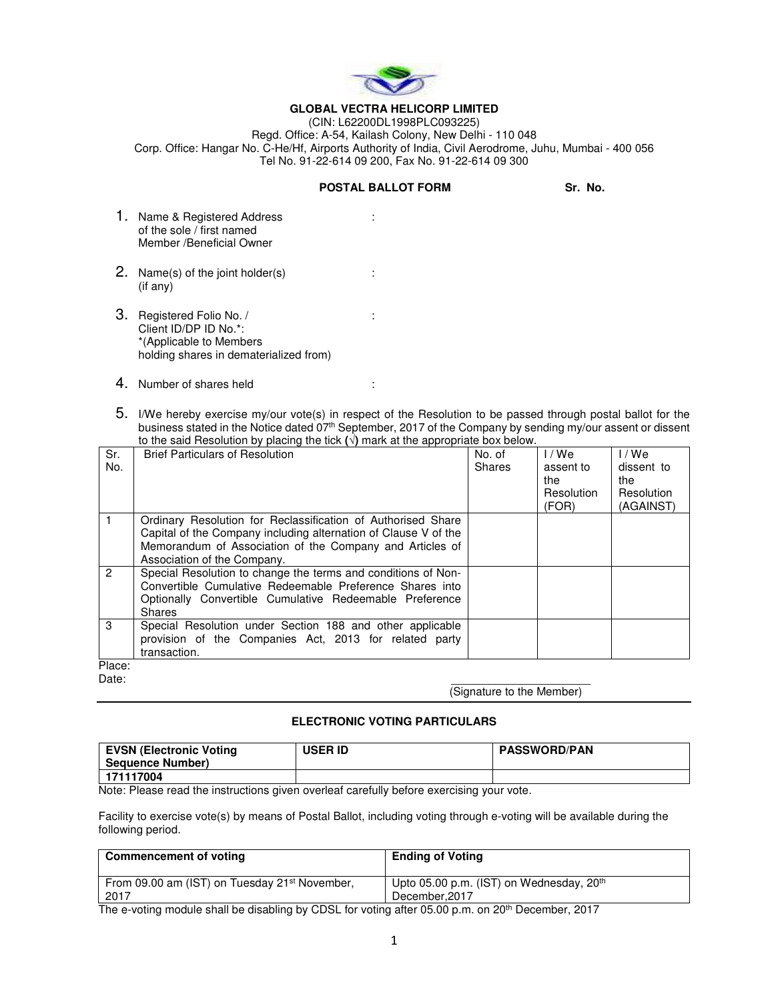

## **GLOBAL VECTRA HELICORP LIMITED**

(CIN: L62200DL1998PLC093225) Regd. Office: A-54, Kailash Colony, New Delhi - 110 048 Corp. Office: Hangar No. C-He/Hf, Airports Authority of India, Civil Aerodrome, Juhu, Mumbai - 400 056 Tel No. 91-22-614 09 200, Fax No. 91-22-614 09 300

## **POSTAL BALLOT FORM Sr. No.**

- 1. Name & Registered Address : of the sole / first named Member /Beneficial Owner
- 2. Name(s) of the joint holder(s)  $\cdot$  : (if any)
- 3. Registered Folio No. / : Client ID/DP ID No.\*: \*(Applicable to Members holding shares in dematerialized from)
- 4. Number of shares held :
- 5. I/We hereby exercise my/our vote(s) in respect of the Resolution to be passed through postal ballot for the business stated in the Notice dated 07<sup>th</sup> September, 2017 of the Company by sending my/our assent or dissent to the said Resolution by placing the tick **(√)** mark at the appropriate box below.

| Sr.<br>No.    | to the balantebolation by plasting the tion (1) main at the appropriate box bolom.<br><b>Brief Particulars of Resolution</b>                                                                                               | No. of<br>Shares | 1/We<br>assent to<br>the<br>Resolution<br>(FOR) | I / We<br>dissent to<br>the<br>Resolution<br>(AGAINST) |
|---------------|----------------------------------------------------------------------------------------------------------------------------------------------------------------------------------------------------------------------------|------------------|-------------------------------------------------|--------------------------------------------------------|
|               | Ordinary Resolution for Reclassification of Authorised Share<br>Capital of the Company including alternation of Clause V of the<br>Memorandum of Association of the Company and Articles of<br>Association of the Company. |                  |                                                 |                                                        |
| $\mathcal{P}$ | Special Resolution to change the terms and conditions of Non-<br>Convertible Cumulative Redeemable Preference Shares into<br>Optionally Convertible Cumulative Redeemable Preference<br><b>Shares</b>                      |                  |                                                 |                                                        |
| 3             | Special Resolution under Section 188 and other applicable<br>provision of the Companies Act, 2013 for related party<br>transaction.                                                                                        |                  |                                                 |                                                        |
| Place:        |                                                                                                                                                                                                                            |                  |                                                 |                                                        |

Date: \_\_\_\_\_\_\_\_\_\_\_\_\_\_\_\_\_\_\_\_\_\_

(Signature to the Member)

## **ELECTRONIC VOTING PARTICULARS**

| EVSN (Electronic Voting<br><b>Sequence Number)</b> | <b>USER ID</b> | <b>PASSWORD/PAN</b> |
|----------------------------------------------------|----------------|---------------------|
| 171117004                                          |                |                     |

Note: Please read the instructions given overleaf carefully before exercising your vote.

Facility to exercise vote(s) by means of Postal Ballot, including voting through e-voting will be available during the following period.

| Upto 05.00 p.m. (IST) on Wednesday, 20 <sup>th</sup> |  |  |
|------------------------------------------------------|--|--|
|                                                      |  |  |
|                                                      |  |  |

The e-voting module shall be disabling by CDSL for voting after 05.00 p.m. on 20<sup>th</sup> December, 2017